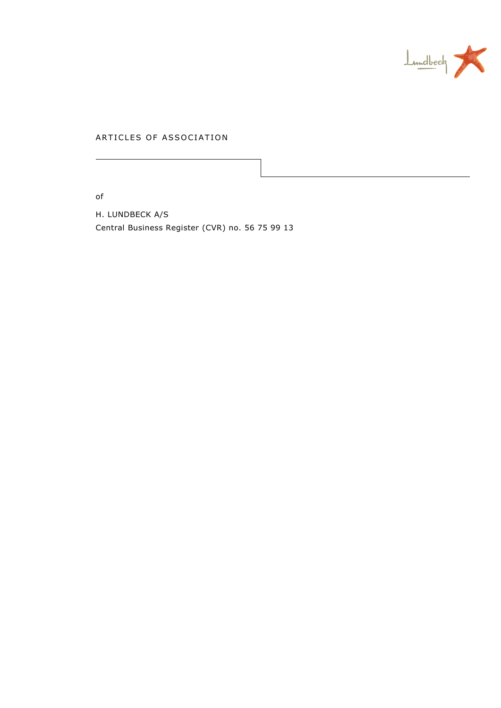

# ARTICLES OF ASSOCIATION

of

H. LUNDBECK A/S Central Business Register (CVR) no. 56 75 99 13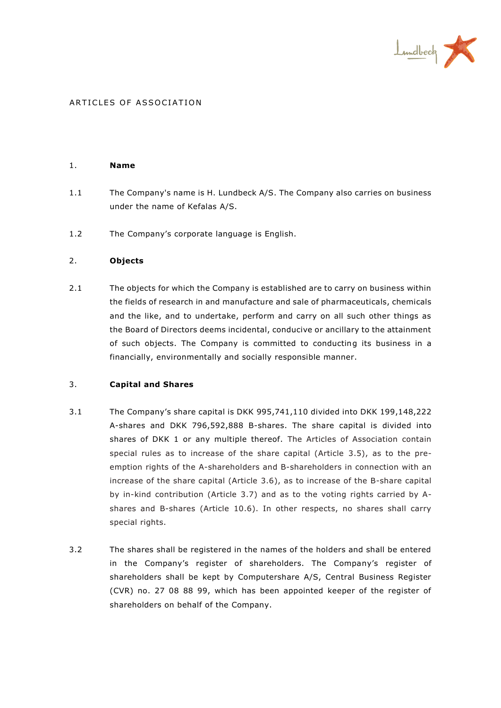

### ARTICLES OF ASSOCIATION

#### 1. **Name**

- 1.1 The Company's name is H. Lundbeck A/S. The Company also carries on business under the name of Kefalas A/S.
- 1.2 The Company's corporate language is English.

### 2. **Objects**

2.1 The objects for which the Company is established are to carry on business within the fields of research in and manufacture and sale of pharmaceuticals, chemicals and the like, and to undertake, perform and carry on all such other things as the Board of Directors deems incidental, conducive or ancillary to the attainment of such objects. The Company is committed to conducting its business in a financially, environmentally and socially responsible manner.

### 3. **Capital and Shares**

- 3.1 The Company's share capital is DKK 995,741,110 divided into DKK 199,148,222 A-shares and DKK 796,592,888 B-shares. The share capital is divided into shares of DKK 1 or any multiple thereof. The Articles of Association contain special rules as to increase of the share capital (Article [3.5\)](#page-2-0), as to the preemption rights of the A-shareholders and B-shareholders in connection with an increase of the share capital (Article [3.6\)](#page-2-1), as to increase of the B-share capital by in-kind contribution (Article [3.7\)](#page-2-2) and as to the voting rights carried by Ashares and B-shares (Article [10.6\)](#page-8-0). In other respects, no shares shall carry special rights.
- 3.2 The shares shall be registered in the names of the holders and shall be entered in the Company's register of shareholders. The Company's register of shareholders shall be kept by Computershare A/S, Central Business Register (CVR) no. 27 08 88 99, which has been appointed keeper of the register of shareholders on behalf of the Company.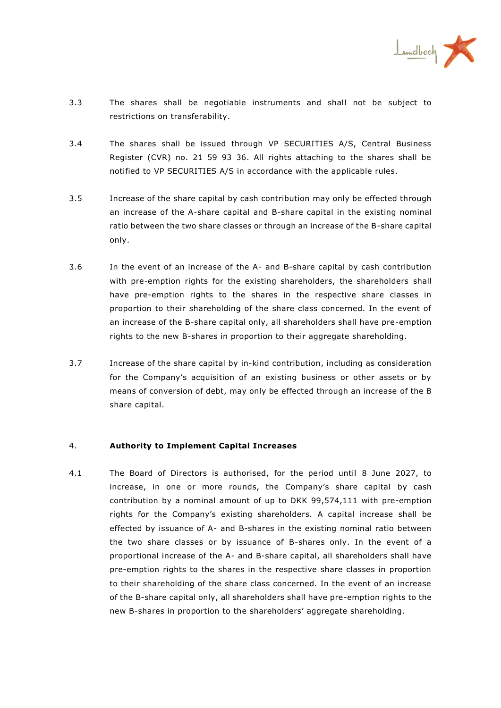

- 3.3 The shares shall be negotiable instruments and shall not be subject to restrictions on transferability.
- 3.4 The shares shall be issued through VP SECURITIES A/S, Central Business Register (CVR) no. 21 59 93 36. All rights attaching to the shares shall be notified to VP SECURITIES A/S in accordance with the applicable rules.
- <span id="page-2-0"></span>3.5 Increase of the share capital by cash contribution may only be effected through an increase of the A-share capital and B-share capital in the existing nominal ratio between the two share classes or through an increase of the B-share capital only.
- <span id="page-2-1"></span>3.6 In the event of an increase of the A- and B-share capital by cash contribution with pre-emption rights for the existing shareholders, the shareholders shall have pre-emption rights to the shares in the respective share classes in proportion to their shareholding of the share class concerned. In the event of an increase of the B-share capital only, all shareholders shall have pre-emption rights to the new B-shares in proportion to their aggregate shareholding.
- <span id="page-2-2"></span>3.7 Increase of the share capital by in-kind contribution, including as consideration for the Company's acquisition of an existing business or other assets or by means of conversion of debt, may only be effected through an increase of the B share capital.

### 4. **Authority to Implement Capital Increases**

<span id="page-2-3"></span>4.1 The Board of Directors is authorised, for the period until 8 June 2027, to increase, in one or more rounds, the Company's share capital by cash contribution by a nominal amount of up to DKK 99,574,111 with pre-emption rights for the Company's existing shareholders. A capital increase shall be effected by issuance of A- and B-shares in the existing nominal ratio between the two share classes or by issuance of B-shares only. In the event of a proportional increase of the A- and B-share capital, all shareholders shall have pre-emption rights to the shares in the respective share classes in proportion to their shareholding of the share class concerned. In the event of an increase of the B-share capital only, all shareholders shall have pre-emption rights to the new B-shares in proportion to the shareholders' aggregate shareholding.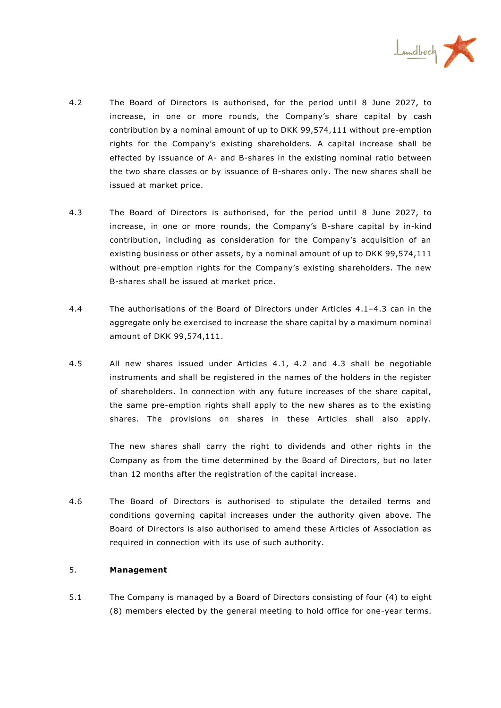

- <span id="page-3-1"></span>4.2 The Board of Directors is authorised, for the period until 8 June 2027, to increase, in one or more rounds, the Company's share capital by cash contribution by a nominal amount of up to DKK 99,574,111 without pre-emption rights for the Company's existing shareholders. A capital increase shall be effected by issuance of A- and B-shares in the existing nominal ratio between the two share classes or by issuance of B-shares only. The new shares shall be issued at market price.
- <span id="page-3-0"></span>4.3 The Board of Directors is authorised, for the period until 8 June 2027, to increase, in one or more rounds, the Company's B-share capital by in-kind contribution, including as consideration for the Company's acquisition of an existing business or other assets, by a nominal amount of up to DKK 99,574,111 without pre-emption rights for the Company's existing shareholders. The new B-shares shall be issued at market price.
- 4.4 The authorisations of the Board of Directors under Articles [4.1](#page-2-3)–[4.3](#page-3-0) can in the aggregate only be exercised to increase the share capital by a maximum nominal amount of DKK 99,574,111.
- 4.5 All new shares issued under Articles [4.1,](#page-2-3) [4.2](#page-3-1) and [4.3](#page-3-0) shall be negotiable instruments and shall be registered in the names of the holders in the register of shareholders. In connection with any future increases of the share capital, the same pre-emption rights shall apply to the new shares as to the existing shares. The provisions on shares in these Articles shall also apply.

The new shares shall carry the right to dividends and other rights in the Company as from the time determined by the Board of Directors, but no later than 12 months after the registration of the capital increase.

4.6 The Board of Directors is authorised to stipulate the detailed terms and conditions governing capital increases under the authority given above. The Board of Directors is also authorised to amend these Articles of Association as required in connection with its use of such authority.

# 5. **Management**

5.1 The Company is managed by a Board of Directors consisting of four (4) to eight (8) members elected by the general meeting to hold office for one-year terms.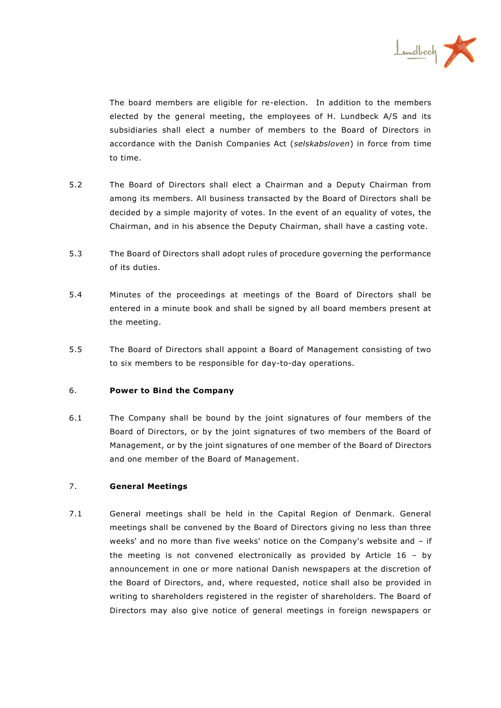

The board members are eligible for re-election. In addition to the members elected by the general meeting, the employees of H. Lundbeck A/S and its subsidiaries shall elect a number of members to the Board of Directors in accordance with the Danish Companies Act (*selskabsloven*) in force from time to time.

- 5.2 The Board of Directors shall elect a Chairman and a Deputy Chairman from among its members. All business transacted by the Board of Directors shall be decided by a simple majority of votes. In the event of an equality of votes, the Chairman, and in his absence the Deputy Chairman, shall have a casting vote.
- 5.3 The Board of Directors shall adopt rules of procedure governing the performance of its duties.
- 5.4 Minutes of the proceedings at meetings of the Board of Directors shall be entered in a minute book and shall be signed by all board members present at the meeting.
- 5.5 The Board of Directors shall appoint a Board of Management consisting of two to six members to be responsible for day-to-day operations.

# 6. **Power to Bind the Company**

6.1 The Company shall be bound by the joint signatures of four members of the Board of Directors, or by the joint signatures of two members of the Board of Management, or by the joint signatures of one member of the Board of Directors and one member of the Board of Management.

# 7. **General Meetings**

7.1 General meetings shall be held in the Capital Region of Denmark. General meetings shall be convened by the Board of Directors giving no less than three weeks' and no more than five weeks' notice on the Company's website and – if the meeting is not convened electronically as provided by Article  $16 - by$ announcement in one or more national Danish newspapers at the discretion of the Board of Directors, and, where requested, notice shall also be provided in writing to shareholders registered in the register of shareholders. The Board of Directors may also give notice of general meetings in foreign newspapers or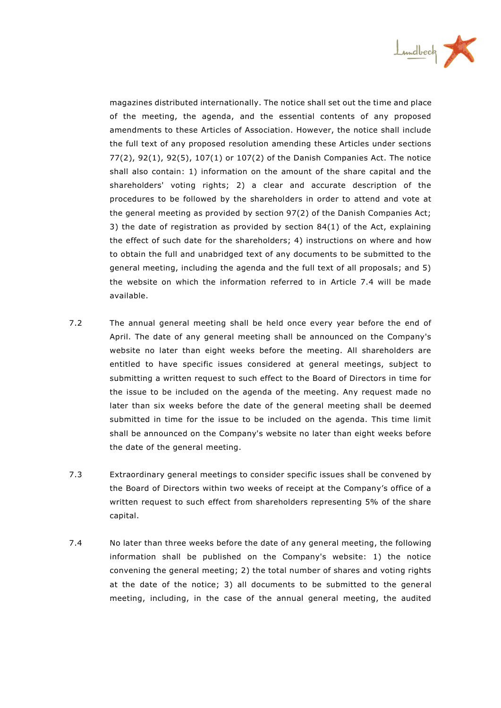

magazines distributed internationally. The notice shall set out the time and place of the meeting, the agenda, and the essential contents of any proposed amendments to these Articles of Association. However, the notice shall include the full text of any proposed resolution amending these Articles under sections 77(2), 92(1), 92(5), 107(1) or 107(2) of the Danish Companies Act. The notice shall also contain: 1) information on the amount of the share capital and the shareholders' voting rights; 2) a clear and accurate description of the procedures to be followed by the shareholders in order to attend and vote at the general meeting as provided by section 97(2) of the Danish Companies Act; 3) the date of registration as provided by section 84(1) of the Act, explaining the effect of such date for the shareholders; 4) instructions on where and how to obtain the full and unabridged text of any documents to be submitted to the general meeting, including the agenda and the full text of all proposals; and 5) the website on which the information referred to in Article 7.4 will be made available.

- 7.2 The annual general meeting shall be held once every year before the end of April. The date of any general meeting shall be announced on the Company's website no later than eight weeks before the meeting. All shareholders are entitled to have specific issues considered at general meetings, subject to submitting a written request to such effect to the Board of Directors in time for the issue to be included on the agenda of the meeting. Any request made no later than six weeks before the date of the general meeting shall be deemed submitted in time for the issue to be included on the agenda. This time limit shall be announced on the Company's website no later than eight weeks before the date of the general meeting.
- 7.3 Extraordinary general meetings to consider specific issues shall be convened by the Board of Directors within two weeks of receipt at the Company's office of a written request to such effect from shareholders representing 5% of the share capital.
- 7.4 No later than three weeks before the date of any general meeting, the following information shall be published on the Company's website: 1) the notice convening the general meeting; 2) the total number of shares and voting rights at the date of the notice; 3) all documents to be submitted to the general meeting, including, in the case of the annual general meeting, the audited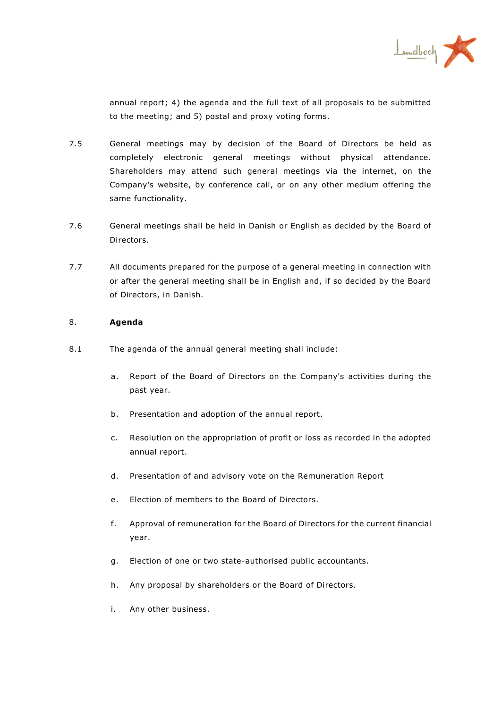

annual report; 4) the agenda and the full text of all proposals to be submitted to the meeting; and 5) postal and proxy voting forms.

- 7.5 General meetings may by decision of the Board of Directors be held as completely electronic general meetings without physical attendance. Shareholders may attend such general meetings via the internet, on the Company's website, by conference call, or on any other medium offering the same functionality.
- 7.6 General meetings shall be held in Danish or English as decided by the Board of Directors.
- 7.7 All documents prepared for the purpose of a general meeting in connection with or after the general meeting shall be in English and, if so decided by the Board of Directors, in Danish.

### 8. **Agenda**

- 8.1 The agenda of the annual general meeting shall include:
	- a. Report of the Board of Directors on the Company's activities during the past year.
	- b. Presentation and adoption of the annual report.
	- c. Resolution on the appropriation of profit or loss as recorded in the adopted annual report.
	- d. Presentation of and advisory vote on the Remuneration Report
	- e. Election of members to the Board of Directors.
	- f. Approval of remuneration for the Board of Directors for the current financial year.
	- g. Election of one or two state-authorised public accountants.
	- h. Any proposal by shareholders or the Board of Directors.
	- i. Any other business.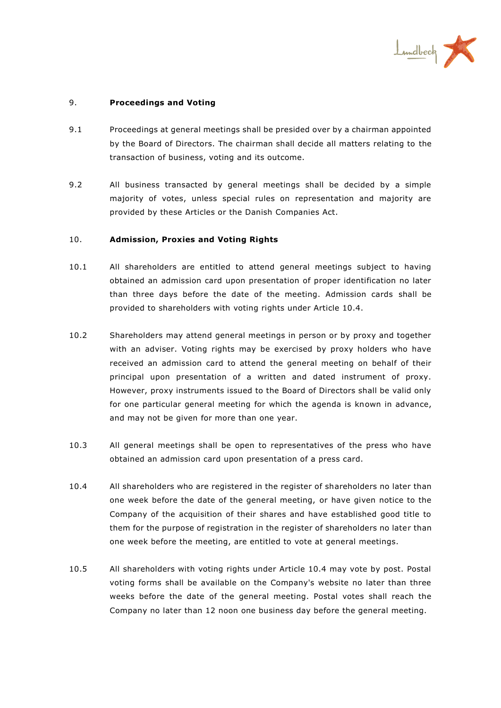

### 9. **Proceedings and Voting**

- 9.1 Proceedings at general meetings shall be presided over by a chairman appointed by the Board of Directors. The chairman shall decide all matters relating to the transaction of business, voting and its outcome.
- 9.2 All business transacted by general meetings shall be decided by a simple majority of votes, unless special rules on representation and majority are provided by these Articles or the Danish Companies Act.

### 10. **Admission, Proxies and Voting Rights**

- 10.1 All shareholders are entitled to attend general meetings subject to having obtained an admission card upon presentation of proper identification no later than three days before the date of the meeting. Admission cards shall be provided to shareholders with voting rights under Article 10.4.
- 10.2 Shareholders may attend general meetings in person or by proxy and together with an adviser. Voting rights may be exercised by proxy holders who have received an admission card to attend the general meeting on behalf of their principal upon presentation of a written and dated instrument of proxy. However, proxy instruments issued to the Board of Directors shall be valid only for one particular general meeting for which the agenda is known in advance, and may not be given for more than one year.
- 10.3 All general meetings shall be open to representatives of the press who have obtained an admission card upon presentation of a press card.
- 10.4 All shareholders who are registered in the register of shareholders no later than one week before the date of the general meeting, or have given notice to the Company of the acquisition of their shares and have established good title to them for the purpose of registration in the register of shareholders no later than one week before the meeting, are entitled to vote at general meetings.
- 10.5 All shareholders with voting rights under Article 10.4 may vote by post. Postal voting forms shall be available on the Company's website no later than three weeks before the date of the general meeting. Postal votes shall reach the Company no later than 12 noon one business day before the general meeting.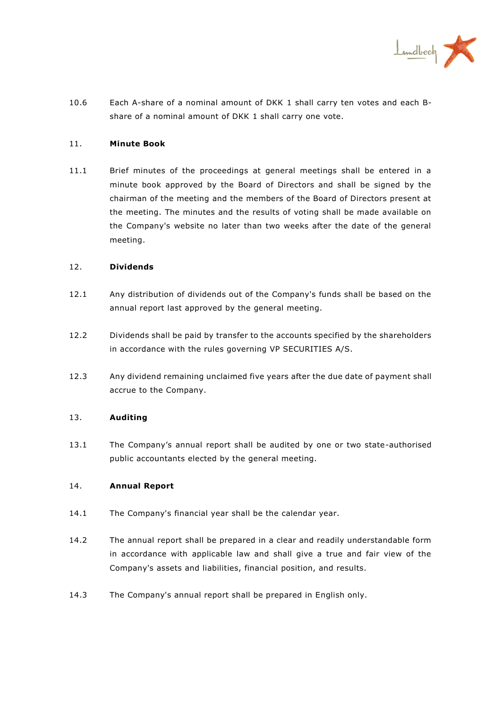

<span id="page-8-0"></span>10.6 Each A-share of a nominal amount of DKK 1 shall carry ten votes and each Bshare of a nominal amount of DKK 1 shall carry one vote.

### 11. **Minute Book**

11.1 Brief minutes of the proceedings at general meetings shall be entered in a minute book approved by the Board of Directors and shall be signed by the chairman of the meeting and the members of the Board of Directors present at the meeting. The minutes and the results of voting shall be made available on the Company's website no later than two weeks after the date of the general meeting.

### 12. **Dividends**

- 12.1 Any distribution of dividends out of the Company's funds shall be based on the annual report last approved by the general meeting.
- 12.2 Dividends shall be paid by transfer to the accounts specified by the shareholders in accordance with the rules governing VP SECURITIES A/S.
- 12.3 Any dividend remaining unclaimed five years after the due date of payment shall accrue to the Company.

### 13. **Auditing**

13.1 The Company's annual report shall be audited by one or two state-authorised public accountants elected by the general meeting.

### 14. **Annual Report**

- 14.1 The Company's financial year shall be the calendar year.
- 14.2 The annual report shall be prepared in a clear and readily understandable form in accordance with applicable law and shall give a true and fair view of the Company's assets and liabilities, financial position, and results.
- 14.3 The Company's annual report shall be prepared in English only.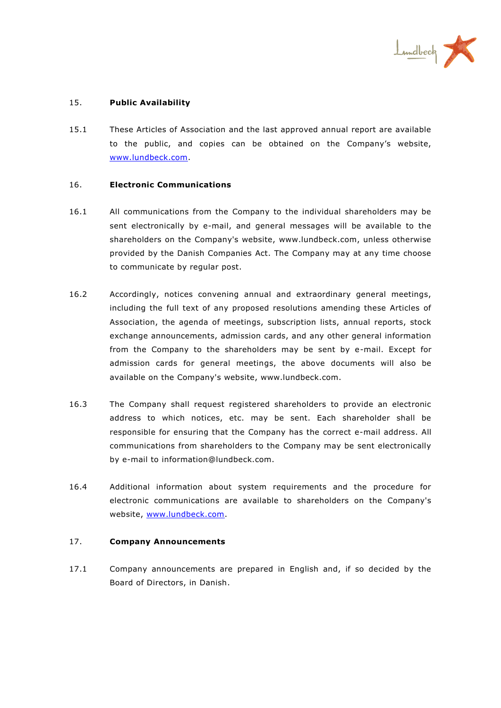

# 15. **Public Availability**

15.1 These Articles of Association and the last approved annual report are available to the public, and copies can be obtained on the Company's website, [www.lundbeck.com.](http://www.lundbeck.com/)

### 16. **Electronic Communications**

- 16.1 All communications from the Company to the individual shareholders may be sent electronically by e-mail, and general messages will be available to the shareholders on the Company's website, www.lundbeck.com, unless otherwise provided by the Danish Companies Act. The Company may at any time choose to communicate by regular post.
- 16.2 Accordingly, notices convening annual and extraordinary general meetings, including the full text of any proposed resolutions amending these Articles of Association, the agenda of meetings, subscription lists, annual reports, stock exchange announcements, admission cards, and any other general information from the Company to the shareholders may be sent by e-mail. Except for admission cards for general meetings, the above documents will also be available on the Company's website, www.lundbeck.com.
- 16.3 The Company shall request registered shareholders to provide an electronic address to which notices, etc. may be sent. Each shareholder shall be responsible for ensuring that the Company has the correct e-mail address. All communications from shareholders to the Company may be sent electronically by e-mail to information@lundbeck.com.
- 16.4 Additional information about system requirements and the procedure for electronic communications are available to shareholders on the Company's website, [www.lundbeck.com.](http://www.lundbeck.com/)

# 17. **Company Announcements**

17.1 Company announcements are prepared in English and, if so decided by the Board of Directors, in Danish.